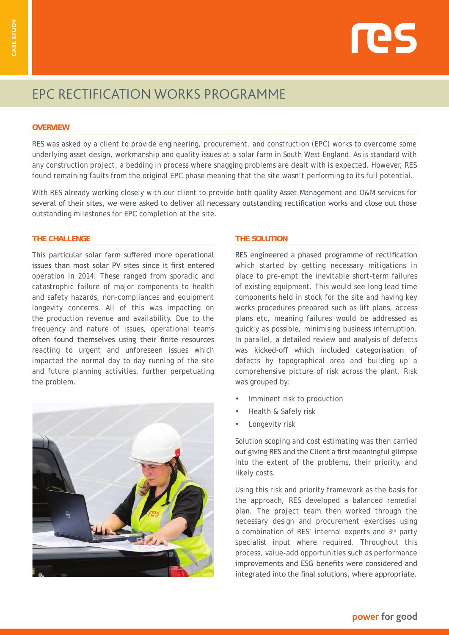

# EPC RECTIFICATION WORKS PROGRAMME

## **OVERVIEW**

RES was asked by a client to provide engineering, procurement, and construction (EPC) works to overcome some underlying asset design, workmanship and quality issues at a solar farm in South West England. As is standard with any construction project, a bedding in process where snagging problems are dealt with is expected. However, RES found remaining faults from the original EPC phase meaning that the site wasn't performing to its full potential.

With RES already working closely with our client to provide both quality Asset Management and O&M services for several of their sites, we were asked to deliver all necessary outstanding rectification works and close out those outstanding milestones for EPC completion at the site.

# **THE CHALLENGE**

This particular solar farm suffered more operational issues than most solar PV sites since it first entered operation in 2014. These ranged from sporadic and catastrophic failure of major components to health and safety hazards, non-compliances and equipment longevity concerns. All of this was impacting on the production revenue and availability. Due to the frequency and nature of issues, operational teams often found themselves using their finite resources reacting to urgent and unforeseen issues which impacted the normal day to day running of the site and future planning activities, further perpetuating the problem.



#### **THE SOLUTION**

RES engineered a phased programme of rectification which started by getting necessary mitigations in place to pre-empt the inevitable short-term failures of existing equipment. This would see long lead time components held in stock for the site and having key works procedures prepared such as lift plans, access plans etc, meaning failures would be addressed as quickly as possible, minimising business interruption. In parallel, a detailed review and analysis of defects was kicked-off which included categorisation of defects by topographical area and building up a comprehensive picture of risk across the plant. Risk was grouped by:

- Imminent risk to production
- Health & Safely risk
- Longevity risk

Solution scoping and cost estimating was then carried out giving RES and the Client a first meaningful glimpse into the extent of the problems, their priority, and likely costs.

Using this risk and priority framework as the basis for the approach, RES developed a balanced remedial plan. The project team then worked through the necessary design and procurement exercises using a combination of RES' internal experts and 3rd party specialist input where required. Throughout this process, value-add opportunities such as performance improvements and ESG benefits were considered and integrated into the final solutions, where appropriate.